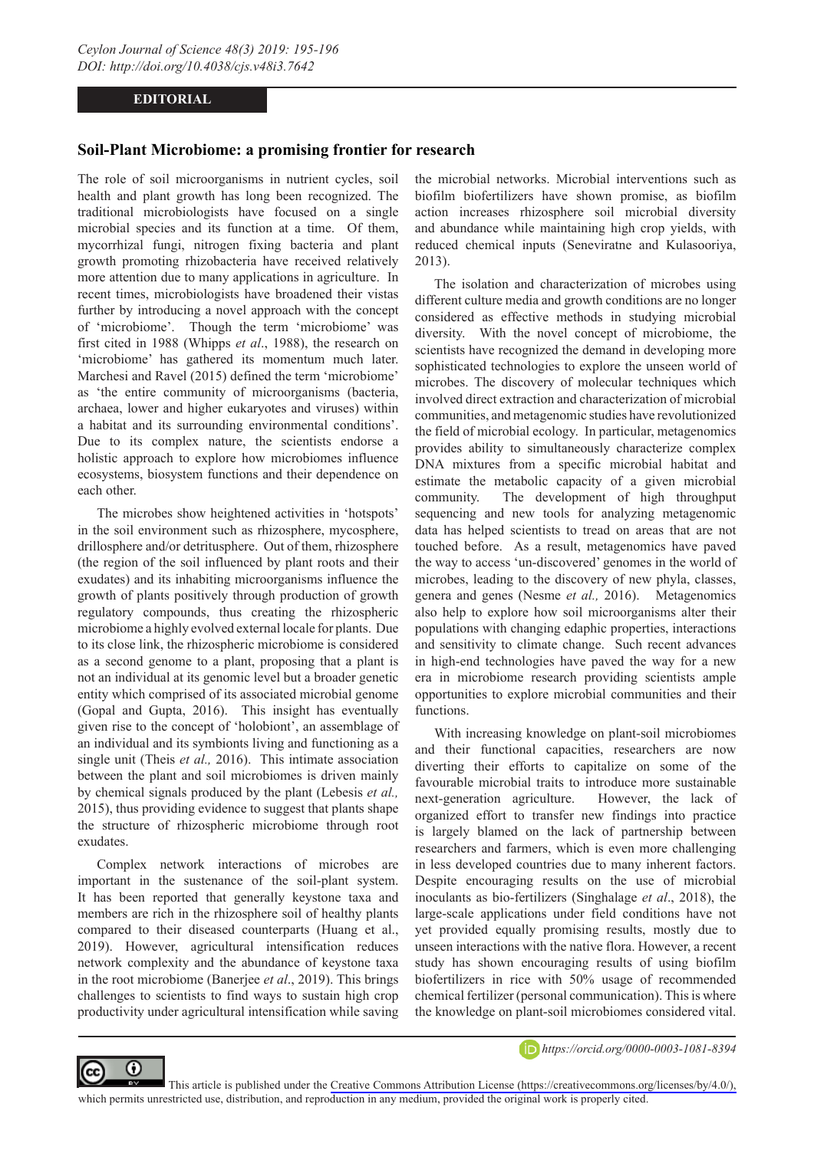## **EDITORIAL**

## **Soil-Plant Microbiome: a promising frontier for research**

The role of soil microorganisms in nutrient cycles, soil health and plant growth has long been recognized. The traditional microbiologists have focused on a single microbial species and its function at a time. Of them, mycorrhizal fungi, nitrogen fixing bacteria and plant growth promoting rhizobacteria have received relatively more attention due to many applications in agriculture. In recent times, microbiologists have broadened their vistas further by introducing a novel approach with the concept of 'microbiome'. Though the term 'microbiome' was first cited in 1988 (Whipps *et al*., 1988), the research on 'microbiome' has gathered its momentum much later. Marchesi and Ravel (2015) defined the term 'microbiome' as 'the entire community of microorganisms (bacteria, archaea, lower and higher eukaryotes and viruses) within a habitat and its surrounding environmental conditions'. Due to its complex nature, the scientists endorse a holistic approach to explore how microbiomes influence ecosystems, biosystem functions and their dependence on each other.

The microbes show heightened activities in 'hotspots' in the soil environment such as rhizosphere, mycosphere, drillosphere and/or detritusphere. Out of them, rhizosphere (the region of the soil influenced by plant roots and their exudates) and its inhabiting microorganisms influence the growth of plants positively through production of growth regulatory compounds, thus creating the rhizospheric microbiome a highly evolved external locale for plants. Due to its close link, the rhizospheric microbiome is considered as a second genome to a plant, proposing that a plant is not an individual at its genomic level but a broader genetic entity which comprised of its associated microbial genome (Gopal and Gupta, 2016). This insight has eventually given rise to the concept of 'holobiont', an assemblage of an individual and its symbionts living and functioning as a single unit (Theis *et al.,* 2016). This intimate association between the plant and soil microbiomes is driven mainly by chemical signals produced by the plant (Lebesis *et al.,* 2015), thus providing evidence to suggest that plants shape the structure of rhizospheric microbiome through root exudates.

Complex network interactions of microbes are important in the sustenance of the soil-plant system. It has been reported that generally keystone taxa and members are rich in the rhizosphere soil of healthy plants compared to their diseased counterparts (Huang et al., 2019). However, agricultural intensification reduces network complexity and the abundance of keystone taxa in the root microbiome (Banerjee *et al*., 2019). This brings challenges to scientists to find ways to sustain high crop productivity under agricultural intensification while saving the microbial networks. Microbial interventions such as biofilm biofertilizers have shown promise, as biofilm action increases rhizosphere soil microbial diversity and abundance while maintaining high crop yields, with reduced chemical inputs (Seneviratne and Kulasooriya, 2013).

The isolation and characterization of microbes using different culture media and growth conditions are no longer considered as effective methods in studying microbial diversity. With the novel concept of microbiome, the scientists have recognized the demand in developing more sophisticated technologies to explore the unseen world of microbes. The discovery of molecular techniques which involved direct extraction and characterization of microbial communities, and metagenomic studies have revolutionized the field of microbial ecology. In particular, metagenomics provides ability to simultaneously characterize complex DNA mixtures from a specific microbial habitat and estimate the metabolic capacity of a given microbial community. The development of high throughput sequencing and new tools for analyzing metagenomic data has helped scientists to tread on areas that are not touched before. As a result, metagenomics have paved the way to access 'un-discovered' genomes in the world of microbes, leading to the discovery of new phyla, classes, genera and genes (Nesme *et al.,* 2016). Metagenomics also help to explore how soil microorganisms alter their populations with changing edaphic properties, interactions and sensitivity to climate change. Such recent advances in high-end technologies have paved the way for a new era in microbiome research providing scientists ample opportunities to explore microbial communities and their functions.

With increasing knowledge on plant-soil microbiomes and their functional capacities, researchers are now diverting their efforts to capitalize on some of the favourable microbial traits to introduce more sustainable next-generation agriculture. However, the lack of organized effort to transfer new findings into practice is largely blamed on the lack of partnership between researchers and farmers, which is even more challenging in less developed countries due to many inherent factors. Despite encouraging results on the use of microbial inoculants as bio-fertilizers (Singhalage *et al*., 2018), the large-scale applications under field conditions have not yet provided equally promising results, mostly due to unseen interactions with the native flora. However, a recent study has shown encouraging results of using biofilm biofertilizers in rice with 50% usage of recommended chemical fertilizer (personal communication). This is where the knowledge on plant-soil microbiomes considered vital.



*https://orcid.org/0000-0003-1081-8394*

This article is published under the [Creative Commons Attribution License \(https://creativecommons.org/licenses/by/4.0/\),](https://creativecommons.org/licenses/by/4.0/)  which permits unrestricted use, distribution, and reproduction in any medium, provided the original work is properly cited.